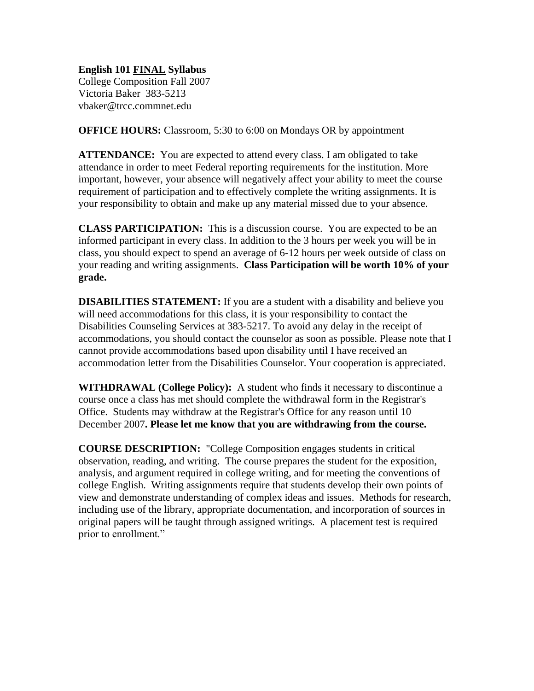## **English 101 FINAL Syllabus**

College Composition Fall 2007 Victoria Baker 383-5213 vbaker@trcc.commnet.edu

**OFFICE HOURS:** Classroom, 5:30 to 6:00 on Mondays OR by appointment

**ATTENDANCE:** You are expected to attend every class. I am obligated to take attendance in order to meet Federal reporting requirements for the institution. More important, however, your absence will negatively affect your ability to meet the course requirement of participation and to effectively complete the writing assignments. It is your responsibility to obtain and make up any material missed due to your absence.

**CLASS PARTICIPATION:** This is a discussion course. You are expected to be an informed participant in every class. In addition to the 3 hours per week you will be in class, you should expect to spend an average of 6-12 hours per week outside of class on your reading and writing assignments. **Class Participation will be worth 10% of your grade.**

**DISABILITIES STATEMENT:** If you are a student with a disability and believe you will need accommodations for this class, it is your responsibility to contact the Disabilities Counseling Services at 383-5217. To avoid any delay in the receipt of accommodations, you should contact the counselor as soon as possible. Please note that I cannot provide accommodations based upon disability until I have received an accommodation letter from the Disabilities Counselor. Your cooperation is appreciated.

**WITHDRAWAL (College Policy):** A student who finds it necessary to discontinue a course once a class has met should complete the withdrawal form in the Registrar's Office. Students may withdraw at the Registrar's Office for any reason until 10 December 2007**. Please let me know that you are withdrawing from the course.**

**COURSE DESCRIPTION:** "College Composition engages students in critical observation, reading, and writing. The course prepares the student for the exposition, analysis, and argument required in college writing, and for meeting the conventions of college English. Writing assignments require that students develop their own points of view and demonstrate understanding of complex ideas and issues. Methods for research, including use of the library, appropriate documentation, and incorporation of sources in original papers will be taught through assigned writings. A placement test is required prior to enrollment."